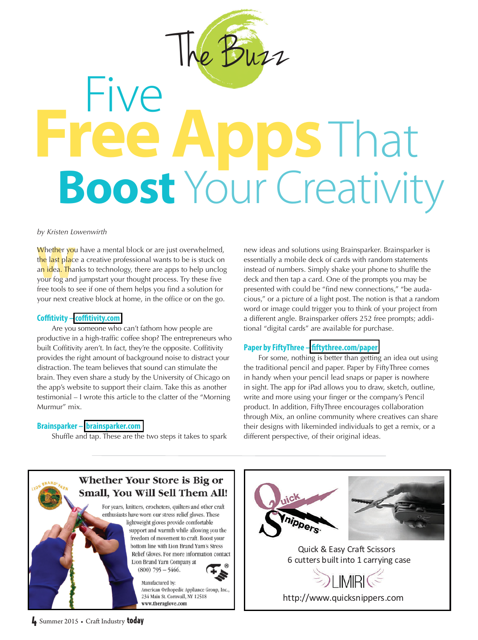

# Five **Apps** That **Boost** Your Creativity

*by Kristen Lowenwirth*

**Whether you have a mental block or are just overwhelmed, the last place a creative professional wants to be is stuck on an idea. Thanks to technology, there are apps to help unclog your fog and jumpstart your thought proc** the last place a creative professional wants to be is stuck on an idea. Thanks to technology, there are apps to help unclog your fog and jumpstart your thought process. Try these five free tools to see if one of them helps you find a solution for your next creative block at home, in the office or on the go.

## **Coftivity – cof[tivity.com](www.coffitivity.com)**

 Are you someone who can't fathom how people are productive in a high-traffic coffee shop? The entrepreneurs who built Coffitivity aren't. In fact, they're the opposite. Coffitivity provides the right amount of background noise to distract your distraction. The team believes that sound can stimulate the brain. They even share a study by the University of Chicago on the app's website to support their claim. Take this as another testimonial – I wrote this article to the clatter of the "Morning Murmur" mix.

# **Brainsparker – [brainsparker.com](www.brainsparker.com)**

Shuffle and tap. These are the two steps it takes to spark

new ideas and solutions using Brainsparker. Brainsparker is essentially a mobile deck of cards with random statements instead of numbers. Simply shake your phone to shuffle the deck and then tap a card. One of the prompts you may be presented with could be "find new connections," "be audacious," or a picture of a light post. The notion is that a random word or image could trigger you to think of your project from a different angle. Brainsparker offers 252 free prompts; additional "digital cards" are available for purchase.

# **Paper by FiftyThree – f[ftythree.com/paper](www.fiftythree.com/paper)**

 For some, nothing is better than getting an idea out using the traditional pencil and paper. Paper by FiftyThree comes in handy when your pencil lead snaps or paper is nowhere in sight. The app for iPad allows you to draw, sketch, outline, write and more using your finger or the company's Pencil product. In addition, FiftyThree encourages collaboration through Mix, an online community where creatives can share their designs with likeminded individuals to get a remix, or a different perspective, of their original ideas.





 Quick & Easy Craft Scissors 6 cutters built into 1 carrying case

[http://www.quicksnippers.com](www.quicksnippers.com)